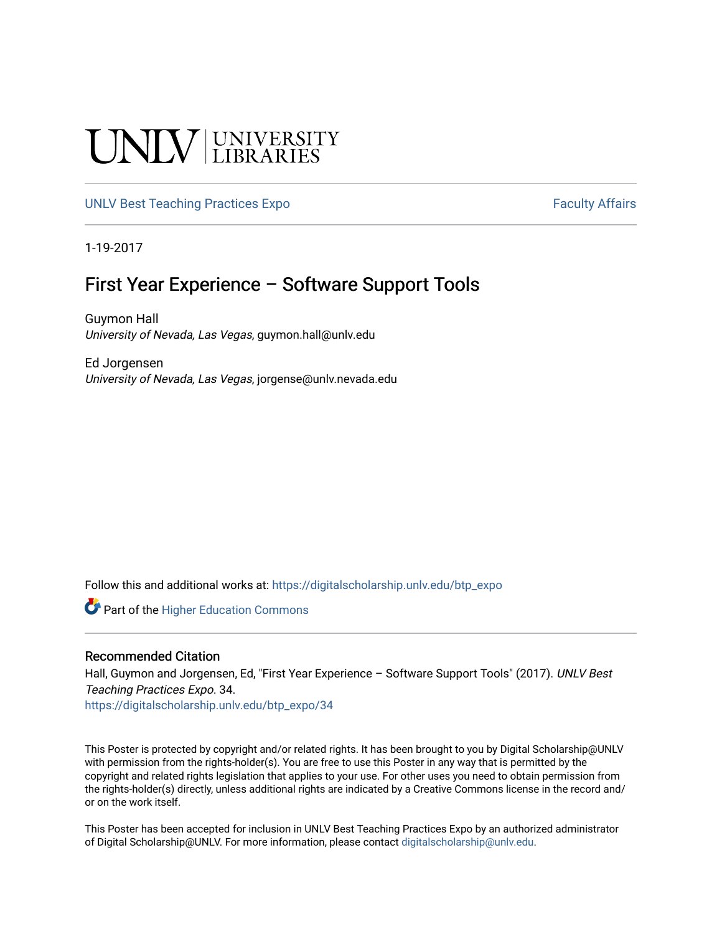#### **UNIVERSITY**

#### [UNLV Best Teaching Practices Expo](https://digitalscholarship.unlv.edu/btp_expo) [Faculty Affairs](https://digitalscholarship.unlv.edu/fac_affairs) **Faculty Affairs**

1-19-2017

#### First Year Experience – Software Support Tools

Guymon Hall University of Nevada, Las Vegas, guymon.hall@unlv.edu

Ed Jorgensen University of Nevada, Las Vegas, jorgense@unlv.nevada.edu

Follow this and additional works at: [https://digitalscholarship.unlv.edu/btp\\_expo](https://digitalscholarship.unlv.edu/btp_expo?utm_source=digitalscholarship.unlv.edu%2Fbtp_expo%2F34&utm_medium=PDF&utm_campaign=PDFCoverPages)

**C** Part of the Higher Education Commons

#### Recommended Citation

Hall, Guymon and Jorgensen, Ed, "First Year Experience - Software Support Tools" (2017). UNLV Best Teaching Practices Expo. 34.

[https://digitalscholarship.unlv.edu/btp\\_expo/34](https://digitalscholarship.unlv.edu/btp_expo/34?utm_source=digitalscholarship.unlv.edu%2Fbtp_expo%2F34&utm_medium=PDF&utm_campaign=PDFCoverPages) 

This Poster is protected by copyright and/or related rights. It has been brought to you by Digital Scholarship@UNLV with permission from the rights-holder(s). You are free to use this Poster in any way that is permitted by the copyright and related rights legislation that applies to your use. For other uses you need to obtain permission from the rights-holder(s) directly, unless additional rights are indicated by a Creative Commons license in the record and/ or on the work itself.

This Poster has been accepted for inclusion in UNLV Best Teaching Practices Expo by an authorized administrator of Digital Scholarship@UNLV. For more information, please contact [digitalscholarship@unlv.edu.](mailto:digitalscholarship@unlv.edu)